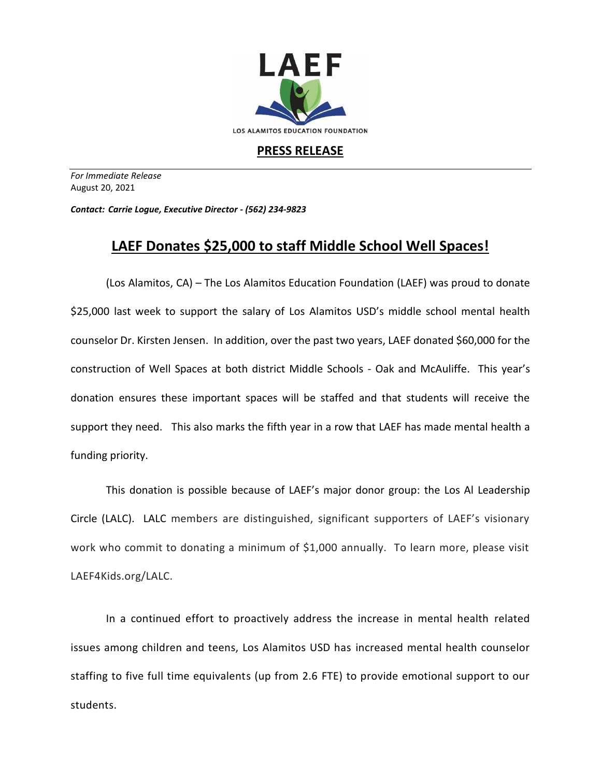

## **PRESS RELEASE**

*For Immediate Release*  August 20, 2021

*Contact: Carrie Logue, Executive Director - (562) 234-9823*

## **LAEF Donates \$25,000 to staff Middle School Well Spaces!**

(Los Alamitos, CA) – The Los Alamitos Education Foundation (LAEF) was proud to donate \$25,000 last week to support the salary of Los Alamitos USD's middle school mental health counselor Dr. Kirsten Jensen. In addition, over the past two years, LAEF donated \$60,000 for the construction of Well Spaces at both district Middle Schools - Oak and McAuliffe. This year's donation ensures these important spaces will be staffed and that students will receive the support they need. This also marks the fifth year in a row that LAEF has made mental health a funding priority.

This donation is possible because of LAEF's major donor group: the Los Al Leadership Circle (LALC). LALC members are distinguished, significant supporters of LAEF's visionary work who commit to donating a minimum of \$1,000 annually. To learn more, please visit LAEF4Kids.org/LALC.

In a continued effort to proactively address the increase in mental health related issues among children and teens, Los Alamitos USD has increased mental health counselor staffing to five full time equivalents (up from 2.6 FTE) to provide emotional support to our students.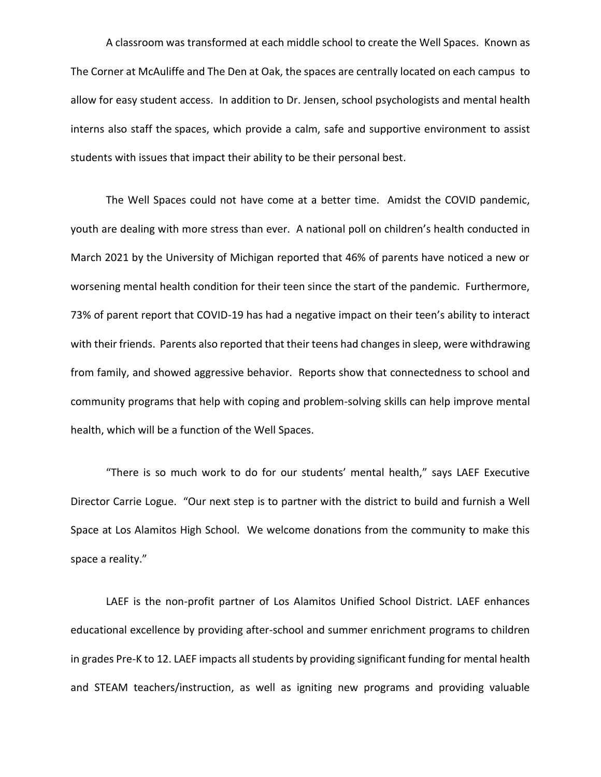A classroom was transformed at each middle school to create the Well Spaces. Known as The Corner at McAuliffe and The Den at Oak, the spaces are centrally located on each campus to allow for easy student access. In addition to Dr. Jensen, school psychologists and mental health interns also staff the spaces, which provide a calm, safe and supportive environment to assist students with issues that impact their ability to be their personal best.

The Well Spaces could not have come at a better time. Amidst the COVID pandemic, youth are dealing with more stress than ever. A national poll on children's health conducted in March 2021 by the University of Michigan reported that 46% of parents have noticed a new or worsening mental health condition for their teen since the start of the pandemic. Furthermore, 73% of parent report that COVID-19 has had a negative impact on their teen's ability to interact with their friends. Parents also reported that their teens had changes in sleep, were withdrawing from family, and showed aggressive behavior. Reports show that connectedness to school and community programs that help with coping and problem-solving skills can help improve mental health, which will be a function of the Well Spaces.

"There is so much work to do for our students' mental health," says LAEF Executive Director Carrie Logue. "Our next step is to partner with the district to build and furnish a Well Space at Los Alamitos High School. We welcome donations from the community to make this space a reality."

LAEF is the non-profit partner of Los Alamitos Unified School District. LAEF enhances educational excellence by providing after-school and summer enrichment programs to children in grades Pre-K to 12. LAEF impacts all students by providing significant funding for mental health and STEAM teachers/instruction, as well as igniting new programs and providing valuable